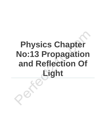# **Physics Chapter No:13 Propagation and Reflection Of Light**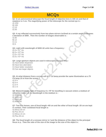## **MCQs**

**Q1- In an astronomical telescope the focal length of objective lens is 100 cm and that of eyepiece is 2 cm. The magnifying power of the telescope for the normal eye is :** A) 1/50

- B) 100
- C) 10
- D) 50

**Q2- A ray reflected successively from two plane mirrors inclined at a certain angle undergoes a deviation of 3000 . Then the number of images observable is :**

- A) 60
- B) 12
- C) 11
- D) 5

#### **Q3- Light with wavelength of 6000 A0 units has a frequency :**

- A)  $5 \times 10^{17}$  Hz
- $B) 5 x 10^{16} Hz$
- C)  $5 \times 10^{15}$  Hz
- D)  $5 \times 10^{14}$  Hz

#### **Q4- Large aperture objects are used in telescopes because they :**

- A) Have better dispersion
- B) Have less aberration
- C) Have better resolution
- D) Can see larger objects

#### **Q5- At what distance from a screen will a 27 Cd lamp provide the same illumination as a 75 Cd lamp 15 m from the screen ?**

- $A)9m$
- B) 6 m
- C) 3 m
- D) 1 m

#### **Q6- Monochromatic light of frequency 5 x 10⁴ Hz travelling in vacuum enters a medium of refractive index 1.5. Its wavelength in the medium is :**

- A) 5000 A0
- B) 4000 A0
- C) 5500 A0
- D) 6000 A0

Q7- Two thin lenses, one of focal length +60 cm and the other of focal length -20 cm are kept **in contact. Their combined focal length is**

- A) Minus 30 cm
- B) Plus 30 cm
- C) Minus 15 cm
- D) Plus 30 cm

Q8- The focal length of a concave mirror is f and the distance of the object to the principal focus is p. Then the ratio of the size of the image to the size of the object is: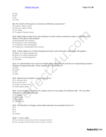- A) p/p
- B) p/f
- C) fp
- D) (?pf)

#### **Q9- For which of the given is luminous efficiency maximum ?**

- A) Sodium vapour lamp
- B) Mercury vapour lamp
- C) Arc lamp
- D) Tungsten filament lamp

#### **Q10- When light travels from one medium to other whose refractive index is different, then which of the given will change?**

- A) Wavelength and velocity
- B) Frequency and wavelength
- C) Frequency and wavelength
- D) Frequency, wavelength and velocity

#### **Q11- A blue object on a white background when seen through a blue filter will appear :**

- A) Black on a blue background
- B) Blue on a white background
- C) Blue on a red background
- D) Invisible

#### **Q12- In a photometer two sources of light when placed at 30 and 50 cm respectively produce shadow of equal intervals. Their candles are in the ratio of**

- A) 9/25
- B) 16/25
- C) 3/5
- D) 6/25

#### **Q13- Spherical air bubble in water will act as :**

- A) A concave lens
- B) A convex lens
- C) Plane-concave lens
- D) Plane glass plate

#### Q14- A ray of light is incident on a plane mirror at an angle of incidence 300. The ray after **reflection is deviated through :**

- A) 30 degree
- B) 60 degree
- C) 90 degree
- D) 120 degree

#### **Q15- The number of images observable between two parallel mirrors is :**

- A) 2
- B) 4
- C) 6
- D) Infinity

#### **Q16- f = r/2 is valid :**

- A) For convex mirrors but not for concave mirrors
- B) For concave mirrors but not for convex mirrors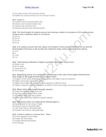- C) For both convex and concave mirrors
- D) Neither for convex mirrors nor for concave mirrors

#### **Q17- Laser is :**

- A) Coherent and monochromatic only
- B) Intense and monochromatic only
- C) Intense and coherent only
- D) Intense coherent and monochromatic

**Q18- The focal length of a plano-convex lens having a radius of curvature of 10 cm for convex surface and a refractive index of 1.5 will be :**

- A) 20 cm
- B) 15 cm
- C) 10 cm
- D) 5 cm

#### Q19- If in a plano-convex lens the radius of curvature of the convex surface is 10 cm and the focal length of the lens is 30 cm then the refractive index of the material of lens will be:

- A) 1.33
- B) 3
- C) 1.66
- D) 1.5

#### **Q20- Total internal reflection of light is possible when light enters from :**

- A) Water to air
- B) Air to water
- C) Vacuum to air
- D) Air to glass

#### **Q21- Magnifying power of a compound microscope is the ratio of the angle formed by the final image to the angle formed by the object when :**

- A) Image is at the least distance of distinct vision and object may be anywhere
- B) Object and image are both at infinity
- C) Object and image are both at the least distance of distinct vision
- D) Object is placed at the least distance of distinct vision and image may be at any place

#### **Q22- When white light moves through vacuum :**

- A) Violet has greater speed than red
- B) Red has greater speed than violet
- C) All colours have the same speed
- D) Different colours have different random speeds

#### **Q23- Refractive index of a material for infrared light is :**

- A) Equal to that for red colour of light
- B) Equal to that for ultraviolet light
- C) Less than that for ultraviolet light
- D) Greater than that for ultraviolet light

#### **Q24- A hole is made in a convex lens . Then :**

- A) A hole appears in the image
- B) Image size decreases
- C) Image intensity decreases
- D) No change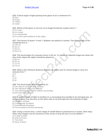**Q25- Critical angle of light passing from glass to air is minimum for :**

A) Red

B) Green

C) Yellow

D) Violet

#### **Q26- Which of the given is not true of an image formed by a plane mirror ?**

A) It is erect

- B) It is virtual
- C) It is diminished
- D) It is at the same distance as the object

#### **Q27- Two lenses of power +3 and -1 diopters are placed in contact. The focal length of the combined lens is :**

A) 100 cm

B) 25 cm

C) 50 cm

D) 30.3 cm

Q28- The focal length of a concave mirror is 50 cm. To obtain an inverted image two times the **size of the object the object should be placed at :**

A) 50 cm

- B) 63 cm
- C) 72 cm
- D) 75 cm

#### **Q29- What is the minimum distance between an object and its virtual image in case of a concave lens ?**

- A) 0
- B) f
- C) 2f
- D) 4f

#### **Q30- The focal length of lens depends on :**

A) The radii of curvature of its surfaces

- B) The refractive index of its material
- C) The refractive index of the medium surrounding
- D) All of the these factors

**Q31- A parallel beam of light is incident on a converging lens parallel to its principal axis. As we move away from the lens on the other side on its principal axis the intensity of light**

A) Remains constant

B) Continuously increases

C) Continuously decreases

D) First increases and then decreases

**Q32- Using a convex lens, a clear image of candle flame is produced on a screen. How many other clear images can be received on this screen if only the lens is to be shifted ?**

- A) A large number
- B) Only one more
- C) Two more
- D) None of these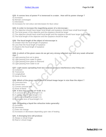#### **Q33- A convex lens of power P is immersed in a water . How will its power change ?**

A) Increases

B) Remain unchanged

C) Decreases

D) Increases for red colour and decreases for blue colour

#### **Q34- In order to increase the magnifying power of a microscope :**

- A) The objective should have larger focal length and eyepiece should have small focal length
- B) The focal power of the objective and the eyepiece should be larger
- C) The objective should have small focal length and the eyepiece should have larger focal length
- D) The focal length of the objective and the eyepiece should be large

#### **Q35- The focal length of the object of microscope is**

- A) Greater than the focal length of eyepiece
- B) Less than the focal length of eyepiece
- C) Equal to the focal length of eyepiece

D) Arbitrary

#### **Q36- In which of the given cases do we get very strong reflected rays and very weak refracted rays ?**

- A) Light passing from air to glass
- B) Light passing from water to glass
- C) Light passing from glass to diamond
- D) Light passing from water to air

#### **Q37- Light waves spreading from two sources produce interference only if they are :**

- A) Coherent
- B) Transverse
- C) Longitudinal
- D) None of these

#### **Q38- Which of the given can produce a virtual image larger in size than the object ?**

- A) Convcave lens
- B) Convex lens
- C) Convex concave lens
- D) None of these

#### **Q39- A lens has a power of +0.5D. It is:**

- A) A concave lens of local length 5 m
- B) A convex lens of focal length 2 m
- C) A convex lens of focal length 5 m
- D) A concave lens of focal length 2 m

#### **Q40- On heating a liquid the refractive index generally:**

- A) Increases
- B) Decreases
- C) Does not change
- D) Increases or decreases depending upon rate of heating

#### **Q41- A diverging lens will produce**

- A) Always a virtual image
- B) Real or virtual image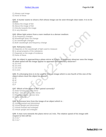- C) Always real image
- D) None of these

#### Q42- A hunter wants to shoot a fish whose image can be seen through clear water. It is to be **aimed:**

- A) Below the image of fish
- B) Above the image of fish
- C) Directly towards the image
- D) In any direction

#### **Q43- When light enters from a rarer medium to a denser medium:**

- A) Its frequency changes
- B) Wavelength does not change
- C) Its wavelength changes
- D) Both wavelength and frequency change

#### **Q44- Refractive index:**

- A) Depends on the wavelength of light used to measure
- B) Is actual property of the substance
- C) Depends on the angle of incidence
- D) None of these

#### **Q45- An object is approaching a plane mirror at 5 cm/s. A stationary observer sees the image. At what speed will the image appear to approach the stationary observer?**

- A) 20 cm/s
- B) 10 cm/s
- C) 15 cm/s
- $D$ ) 5 cm/s

#### Q46- If a diverging lens is to be used to form an image which is one fourth of the size of the **object where must the object be placed?**

- A) 3f
- B) 4f
- C) 2f
- D) F

#### **Q47- Which of the given is NOT paired correctly?**

- A) Solar furnace-concave mirror
- B) Rear -view mirror-convex mirror
- C) Magnifying glass -convex lens
- D) None of these

#### **Q48- A concave lens from the image of an object which is :**

- A) Virtual inverted and diminished
- B) Virtual upright and diminished
- C) Virtual inverted and enlarged
- D) Virtual upright and enlarged

#### **Q49- A man runs towards the plane mirror at 2 m/s. The relative speed of his image with respect to him will be:**

- A)  $4 \text{ ms}^{-1}$
- $B$ ) 2 ms<sup> $-1$ </sup>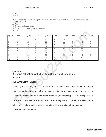$C$ ) 8 ms<sup> $-1$ </sup>

D)  $10 \text{ ms}^{-1}$ 

#### **Q50- In order to obtain a magnification of, -0.6 (minus 0.6) with a concave mirror, the object must be placed:**

A) At the focus

B) Between pole and focus

C) Between focus and centre of curvature

D) Beyond the centre of curvature

| Q. No. | Ans.         | Q. No. | Ans.         | Q. No. | Ans.         | Q. No. | Ans.        | Q. No. | Ans.         |
|--------|--------------|--------|--------------|--------|--------------|--------|-------------|--------|--------------|
|        |              |        |              |        |              |        |             |        |              |
|        | D            | 11     | D            | 21     | D            | 31     |             | 41     | B            |
| ⌒      | $\mathsf{C}$ | 12     | A            | 22     | $\mathsf{C}$ | 32     | B           | 42     | Α            |
| 3      | D            | 13     | A            | 23     | $\mathsf{C}$ | 33     | C           | 43     | $\mathsf{C}$ |
|        | $\mathsf{C}$ | 14     | D            | 24     | $\mathsf{C}$ | 34     | $A^{\circ}$ | 44     | A            |
| 5      | A            | 15     | D            | 25     | D            | 35     | B           | 45     | D            |
| 6      | B            | 16     | $\mathsf{C}$ | 26     | $\mathsf{C}$ | 36     | D           | 46     | A            |
|        | A            | 17     | D            | 27     | $\mathsf{C}$ | 37     | $\forall$   | 47     | D            |
| 8      | A            | 18     | A            | 28     | D            | 38     | B           | 48     | B            |
| 9      | A            | 19     | A            | 29     | A            | 39     | B           | 49     | A            |
| 10     | A            | 20     | A            | 30     | D            | 40     | B           | 50     | D            |

### **Questions i) Define reflection of light. State the laws of reflection. Answer:**

#### **REFLECTION OF LIGHT:**

When light spreading from a source in one medium strikes the surface of another medium a part of it is sent back in the same medium or reflected, a part is absorbed and a part is transmitted into the other medium (or refracted) if it is transparent or translucent. The phenomenon of reflection is widely used in our life. For example the reflection of radar waves is used for safe take-off and landing of aeroplanes.

#### **LAWS OF REFLECTION:**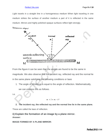#### [Perfect 24u.com](https://www.perfect24u.com/) Page **8** of **18**

Light travels in a straight line in a homogeneous medium When light traveling in one medium strikes the surface of another medium a part of it is reflected in the same medium. Mirrors and highly polished opaque surfaces reflect light strongly.

luminous object



From the figure it can be seen that the angles are found to be the same in magnitude. We also observe that the incident ray, reflected ray and the normal lie in the same plane satisfying the following conditions or laws

1. The angle of incidence is equal to the angle of reflection. Mathematically,

we can express this as follows.

i.e.

 $m < \hat{i} = m < \hat{r}$ 

**2. The incident ray, the reflected ray and the normal line lie in the same plane.**

These are called the laws of reflection.

**ii) Explain the formation of an image by a plane mirror. Answer:**

**IMAGE FORMED BY A PLANE MIRROR:**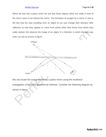#### [Perfect 24u.com](https://www.perfect24u.com/) Page **9** of **18**

When we look into a plane mirror we see that those objects which are really in front of the mirror seem to be behind the mirror. The formation of images by a mirror is due to the fact that the rays travelling from an object to our eye change their direction after reflection so that they appear to come from points other than those from which they really started. We observe the image of an object in a direction in which the light rays enter our eye as shown in figure.



We can locate the image formed by a plane mirror using the rectilinear

propagation of light and geometrical methods. Consider the following diagram as shown in figure.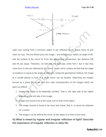

Light rays coming from a luminous object O are reflected by the plane mirror M and enter our eye. The line Which joins the image I and the object O makes an angle of 90° with the surface of the mirror M. From the geometrical construction, the distance OM and IM are equal. Therefore, we feel that the light rays come from I but in fact they come from O and are reflected by the mirror. At the mirror surface we find that the angle of incidence is equal to the angle of reflection. Using the geometrical method, the image of a candle placed in front of a plane mirror can be located. Observing the images formed by a plane mirror we note four main characteristics of the images which are given as follows:

- 1. Images are found to be bilaterally inverted. That is, the right side of the object appears as the left side of the image.
- 2. Images are found to be of the same size as that of the object.
- 3. The image formed is found to be erect and virtual, that is, it cannot be obtained on a screen.
- 4. The Image is as far behind the mirror as the object is in front of the minor.

## **iii) What is meant by regular and irregular reflection of light? Describe the importance of irregular reflection in daily life.**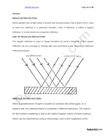#### **Answer:**

#### **REGULAR REFLECTION:**

When parallel rays of light strike a smooth and shining surface, like a plane mirror, most of them are reflected in a particular direction. Such a reflection is called a regular reflection. It is also known as a specular reflection.

#### **USE OF REGULAR REFLECTION:**

The regular reflection is used In Image formation by mirrors. Because of this regular reflection we can converge or diverge light rays according to our need using spherical reflecting surfaces.



## **IRREGULAR REFLECTION:**

When a parallel beam of light is incident on surfaces like white paper, or a painted wall, the reflected beam is scattered in different directions. The reason for this random scattering is due to the highly irregular nature of these surfaces, which can be observed by using a microscope. Due to the roughness of the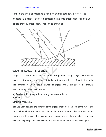#### [Perfect 24u.com](https://www.perfect24u.com/) Page **12** of **18**

surface, the angle of incidence is not the same for each ray, therefore, the reflected rays scatter in different directions. This type of reflection is known as diffuse or irregular reflection. This can be shown as



#### **USE OF IRREGULAR REFLECTION:**

Irregular reflection is very important for us. The gradual change of light, by which we receive light at dawn or after sunset, is due-to irregular reflection of sunlight from the dust particles in air. All the non-luminous objects are visible due to the irregular reflection of light from their surfaces.

## **iv) Derive mirror equation using concave mirror. Answer:**

#### **MIRROR FORMULA:**

It is a relation between the distance of the object, image from the pole of the mirror and the focal length of the mirror. In order to derive a formula for the spherical mirrors consider the formation of an image by a concave mirror when an object is placed between the principal focus and centre of curvature of the mirror as shown in figure.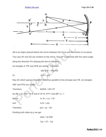

AB is an object placed before the mirror between the focus and the centre of curvature.

Two rays AP and AD are incident on the mirror. Ray AP is reflected with the same angle along the direction PA obeying the law of reflection.

As triangles A' PB' and APB are similar. Therefore,

$$
AB/ A'B' = PB/ PB'
$$

Or  $h_0/h_i = p/q$ 

Ray AD which passes through F becomes parallel to the principal axis PB. As triangles

ABF and FPD are similar.

 $\triangle$   $AB/DB = BF/FP$ 

As  $AB = ho$ ,  $DP = A'B'$  and  $A'B' = hi$ ,  $FP = f$  and  $BF = p - f$ 

| <b>But as</b> | $h_0 / h_i = (p - f)/f$ |
|---------------|-------------------------|
| and           | $h_0/h_i = p/q$         |

Therefore  $p/q = (p - f)/f$ 

Dividing both sides by p we get

$$
p/pq = (p-f)/pf
$$

$$
1/q = 1/f - 1/p
$$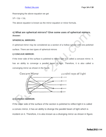Rearranging the above equation we get

$$
1/f = 1/p + 1/q
$$

The above equation is known as the mirror equation or minor formula.

## **v) What are spherical mirrors? Give some uses of spherical mirrors. Answer:**

#### **SPHERICAL MIRRORS:**

A spherical mirror may be considered as a section of a hollow sphere with one polished

surface. There are two types of spherical mirrors

#### **i) CONCAVE MIRROR:**

If the inner side of the surface is polished to reflect light it is called a concave mirror. It. has an ability to converge a parallel beam of light. Therefore, it is also called a converging mirror as shown in the figure.



## **ii) CONVEX MIRROR:**

If the outer side of the surface of the section is polished to reflect light it is called a convex mirror, it has an ability to diverge the parallel beam of light which is incident on it. Therefore, it is also known as a diverging mirror as shown in figure.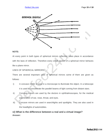

#### **NOTE:**

At every point in both types of spherical mirrors reflection takes place in accordance with the laws of reflection. Therefore every small section of a spherical mirror behaves like a plane mirror.

#### USES OF SPHERICAL MIRRORS:

There are several important uses of spherical mirrors some of them are given as follows:

- i) A concave mirror is used in a microscope to illuminate the object. In a telescope it is used to concentrate the parallel beams of light coming from distant stars.
- ii) Concave minors are used by the doctors in ophthalmoscopes, for the medical examination of ear, nose, throat, and eyes.
- iii) Concave mirrors are used in searchlights and spotlights. They are also used in the headlights of automobiles.

## **vi) What is the difference between a real and a virtual image? Answer:**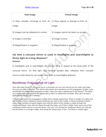| <b>Real Image</b>                                                          | <b>Virtual Image</b>                 |
|----------------------------------------------------------------------------|--------------------------------------|
| 1) Rays actually converge to form an (1) Rays appear to diverge to form an |                                      |
| image.                                                                     | image.                               |
| 2) Images can be obtained on screen.                                       | 2) Images cannot be taken on screen. |
| 3) Image is inverted.                                                      | 3) Image is erect.                   |
| 4) Magnification is negative.                                              | 4) Magnification is positive.        |

## **vii) How a concave mirror is used in headlights and searchlights to throw light at a long distance? Answer:**

In headlights and in searchlights the electric lamp is placed at the focal point of the concave mirror. So that light rays become parallel after reflection from concave mirror.so that these do not scatter and reach at searchlights distance.

## **Rectilinear Propagation of Light**

How does light travel? If you stand up on a mountain you can see around you for miles and miles, how are you able to do that? This article will answer your questions on the propagation of light, more specifically the rectilinear propagation of light. Have you seen a lighthouse by the beach? The lights on a lighthouse rotate around the lighthouse so that it is visible from all sides. Why can't we see a lighthouse if the light isn't rotating?

You will understand the propagation of light with a simple experiment. Place a candle on a table and light it. Place three cardboard sheets blocking your view of the candle. In these cardboard sheets make three pinholes at equal heights such that the flame of the candle is visible through the cardboard sheets. Now view the flame through the holes, you'll find it visible. Now move one of the cardboard sheets and try to see the flame. Can you? On moving the cardboard sheet, you will see that the flame is no longer visible. Now bring the sheets back in line. The flame is visible again.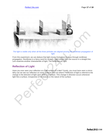

The light is visible only when all the three pinholes are aligned proving the rectilinear propagation of light

From this experiment, we can deduce that light moves from place to place through rectilinear propagation. Rectilinear is a fancy word for straight. Light travels from the source in a straight line. Let's examine another characteristic of light; The Reflection of Light.

## **Reflection of Light**

Have you ever seen your reflection on a still surface of a lake? Surely, you must have seen a mirror. Why can we see our reflection on some surfaces and not others? Reflection of light is referred to the change in the direction of light upon striking a surface. This change in direction occurs whenever light hits a surface, irrespective of the texture or the nature of the surface.